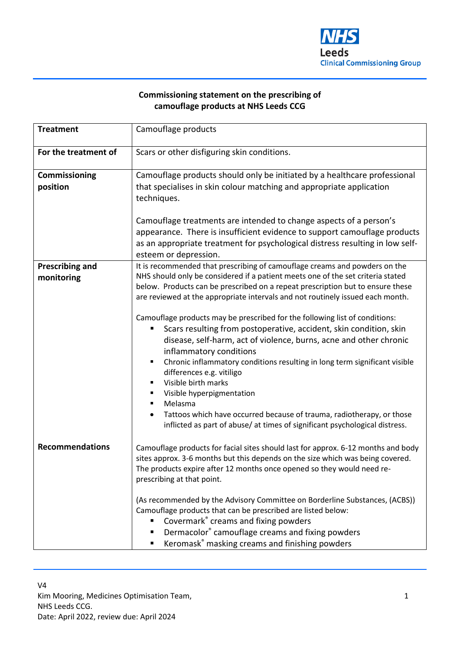

## **Commissioning statement on the prescribing of camouflage products at NHS Leeds CCG**

| <b>Treatment</b>                     | Camouflage products                                                                                                                                                                                                                                                                                                                                                                                                                                                                                                                                                                                                                                                                                                                                                                                                                                                                                                                                                     |
|--------------------------------------|-------------------------------------------------------------------------------------------------------------------------------------------------------------------------------------------------------------------------------------------------------------------------------------------------------------------------------------------------------------------------------------------------------------------------------------------------------------------------------------------------------------------------------------------------------------------------------------------------------------------------------------------------------------------------------------------------------------------------------------------------------------------------------------------------------------------------------------------------------------------------------------------------------------------------------------------------------------------------|
| For the treatment of                 | Scars or other disfiguring skin conditions.                                                                                                                                                                                                                                                                                                                                                                                                                                                                                                                                                                                                                                                                                                                                                                                                                                                                                                                             |
| Commissioning<br>position            | Camouflage products should only be initiated by a healthcare professional<br>that specialises in skin colour matching and appropriate application<br>techniques.<br>Camouflage treatments are intended to change aspects of a person's<br>appearance. There is insufficient evidence to support camouflage products<br>as an appropriate treatment for psychological distress resulting in low self-<br>esteem or depression.                                                                                                                                                                                                                                                                                                                                                                                                                                                                                                                                           |
| <b>Prescribing and</b><br>monitoring | It is recommended that prescribing of camouflage creams and powders on the<br>NHS should only be considered if a patient meets one of the set criteria stated<br>below. Products can be prescribed on a repeat prescription but to ensure these<br>are reviewed at the appropriate intervals and not routinely issued each month.<br>Camouflage products may be prescribed for the following list of conditions:<br>Scars resulting from postoperative, accident, skin condition, skin<br>disease, self-harm, act of violence, burns, acne and other chronic<br>inflammatory conditions<br>Chronic inflammatory conditions resulting in long term significant visible<br>$\blacksquare$<br>differences e.g. vitiligo<br>Visible birth marks<br>$\blacksquare$<br>Visible hyperpigmentation<br>٠<br>Melasma<br>٠<br>Tattoos which have occurred because of trauma, radiotherapy, or those<br>inflicted as part of abuse/ at times of significant psychological distress. |
| <b>Recommendations</b>               | Camouflage products for facial sites should last for approx. 6-12 months and body<br>sites approx. 3-6 months but this depends on the size which was being covered.<br>The products expire after 12 months once opened so they would need re-<br>prescribing at that point.<br>(As recommended by the Advisory Committee on Borderline Substances, (ACBS))<br>Camouflage products that can be prescribed are listed below:<br>Covermark® creams and fixing powders<br>Dermacolor® camouflage creams and fixing powders<br>Keromask® masking creams and finishing powders<br>٠                                                                                                                                                                                                                                                                                                                                                                                           |